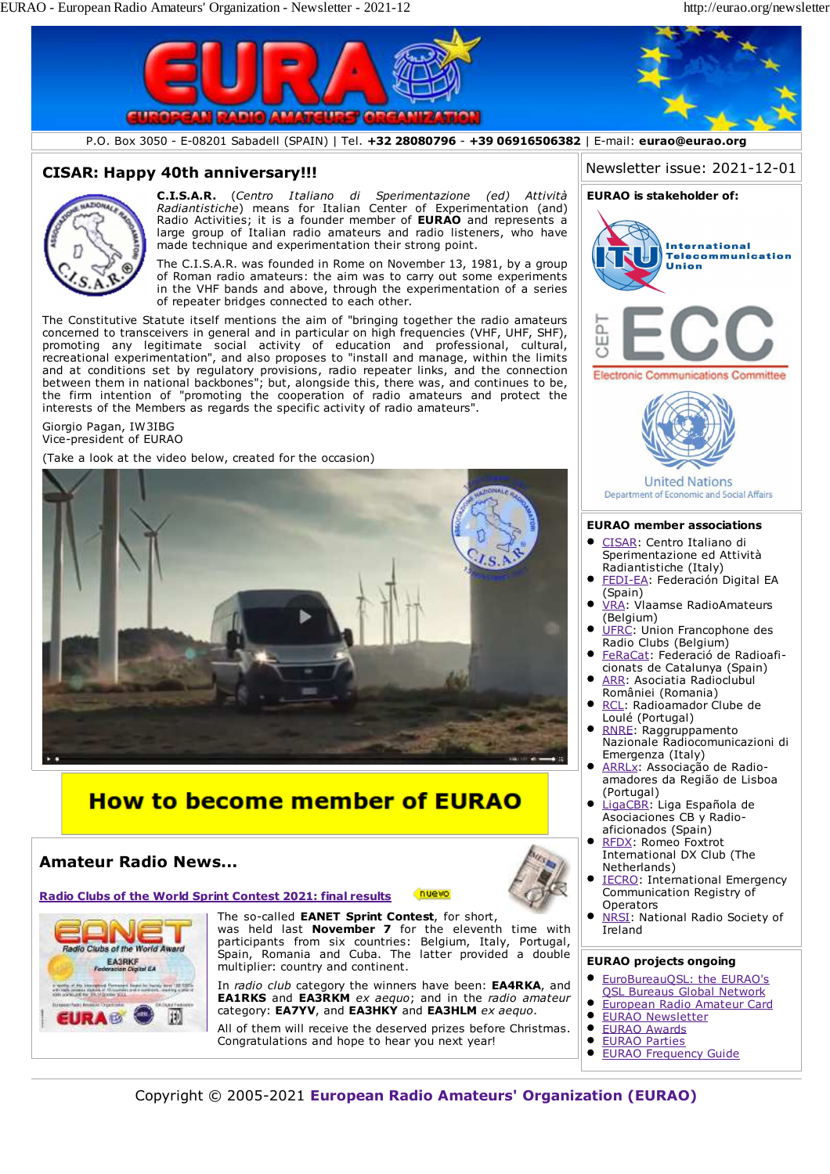